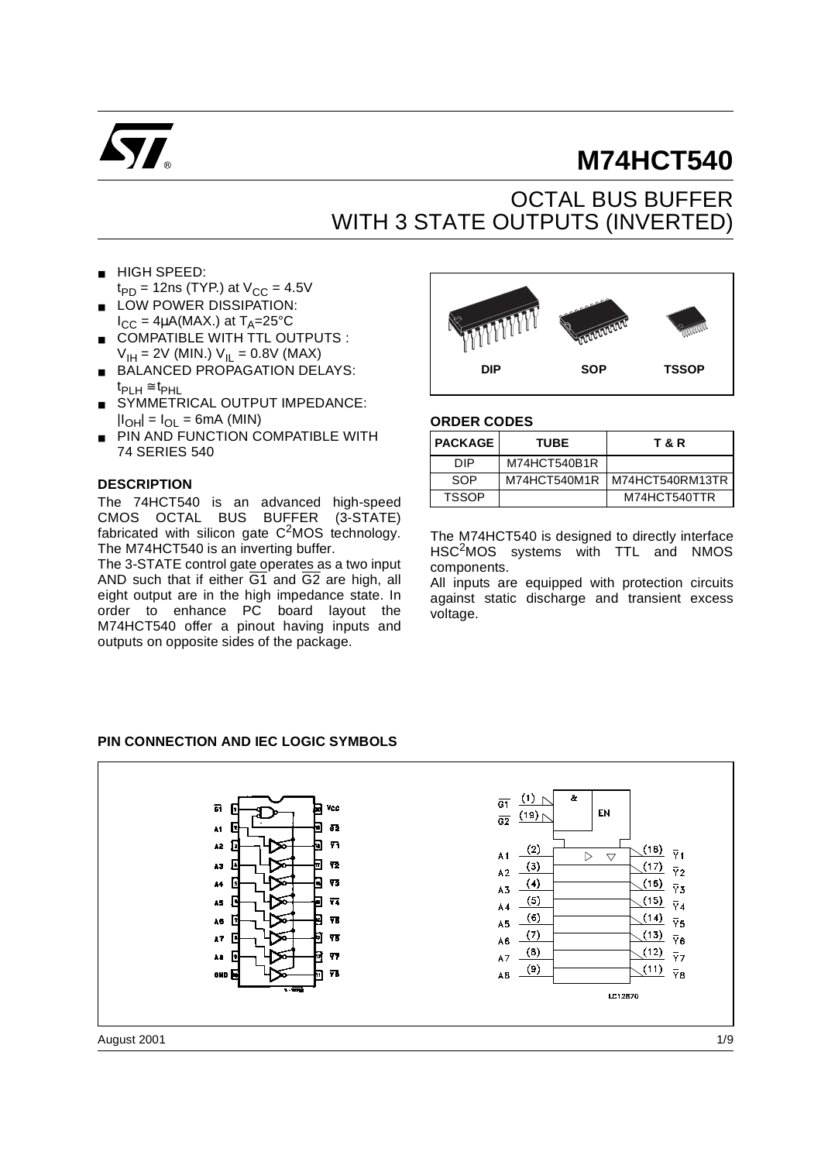

# **M74HCT540**

## OCTAL BUS BUFFER WITH 3 STATE OUTPUTS (INVERTED)

- HIGH SPEED:
- $t_{PD}$  = 12ns (TYP.) at  $V_{CC}$  = 4.5V ■ LOW POWER DISSIPATION:
- $I_{CC} = 4\mu A(MAX.)$  at  $T_A = 25^{\circ}C$ ■ COMPATIBLE WITH TTL OUTPUTS :
- $V_{\text{IH}} = 2V$  (MIN.)  $V_{\text{IL}} = 0.8V$  (MAX)
- BALANCED PROPAGATION DELAYS:  $t_{\text{PI H}} \cong t_{\text{PHL}}$
- SYMMETRICAL OUTPUT IMPEDANCE:  $|I_{OH}| = I_{OL} = 6mA$  (MIN)
- PIN AND FUNCTION COMPATIBLE WITH 74 SERIES 540

#### **DESCRIPTION**

The 74HCT540 is an advanced high-speed CMOS OCTAL BUS BUFFER (3-STATE) fabricated with silicon gate  $C^2$ MOS technology. The M74HCT540 is an inverting buffer.

The 3-STATE control gate operates as a two input AND such that if either  $\overline{G1}$  and  $\overline{G2}$  are high, all eight output are in the high impedance state. In order to enhance PC board layout the M74HCT540 offer a pinout having inputs and outputs on opposite sides of the package.



#### **ORDER CODES**

| <b>PACKAGE</b> | <b>TUBE</b>  | T & R             |
|----------------|--------------|-------------------|
| DIP            | M74HCT540B1R |                   |
| SOP            | M74HCT540M1R | I M74HCT540RM13TR |
| <b>TSSOP</b>   |              | M74HCT540TTR      |

The M74HCT540 is designed to directly interface HSC2MOS systems with TTL and NMOS components.

All inputs are equipped with protection circuits against static discharge and transient excess voltage.

#### **PIN CONNECTION AND IEC LOGIC SYMBOLS**

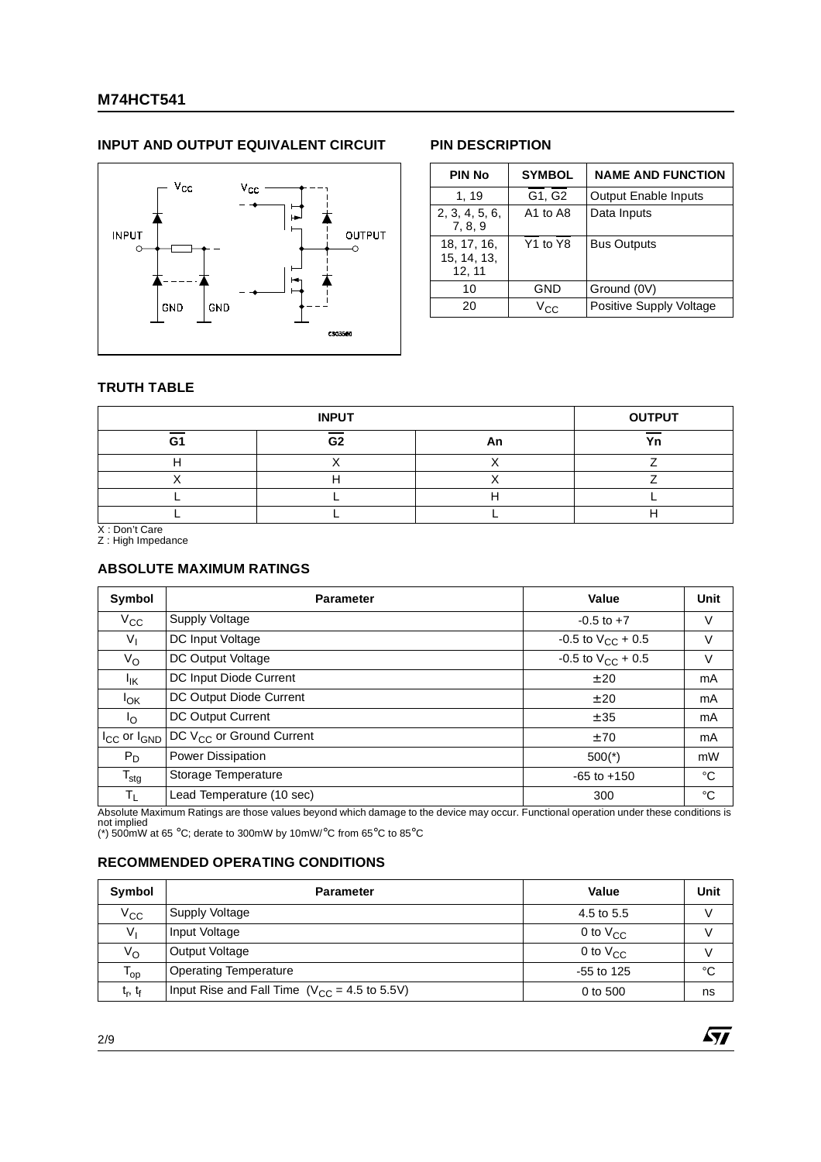### **M74HCT541**

#### **INPUT AND OUTPUT EQUIVALENT CIRCUIT PIN DESCRIPTION**



| <b>PIN No</b>                        | <b>SYMBOL</b>                    | <b>NAME AND FUNCTION</b>    |
|--------------------------------------|----------------------------------|-----------------------------|
| 1, 19                                | G1, G2                           | <b>Output Enable Inputs</b> |
| 2, 3, 4, 5, 6,<br>7, 8, 9            | A1 to A8                         | Data Inputs                 |
| 18, 17, 16,<br>15, 14, 13,<br>12, 11 | Y <sub>1</sub> to Y <sub>8</sub> | <b>Bus Outputs</b>          |
| 10                                   | GND                              | Ground (0V)                 |
| 20                                   | $V_{C}$                          | Positive Supply Voltage     |

57

#### **TRUTH TABLE**

|    | <b>INPUT</b> |    | <b>OUTPUT</b> |
|----|--------------|----|---------------|
| Gʻ | G2           | Αn | Υn            |
|    |              |    |               |
|    |              |    |               |
|    |              |    |               |
|    |              |    |               |

X : Don't Care Z : High Impedance

#### **ABSOLUTE MAXIMUM RATINGS**

| Symbol                        | <b>Parameter</b>                     | Value                    | Unit           |
|-------------------------------|--------------------------------------|--------------------------|----------------|
| $V_{\rm CC}$                  | Supply Voltage                       | $-0.5$ to $+7$           | V              |
| $V_{\parallel}$               | DC Input Voltage                     | $-0.5$ to $V_{CC}$ + 0.5 | V              |
| V <sub>O</sub>                | DC Output Voltage                    | -0.5 to $V_{CC}$ + 0.5   | V              |
| $I_{\mathsf{IK}}$             | DC Input Diode Current               | ± 20                     | m <sub>A</sub> |
| <b>I</b> <sub>OK</sub>        | DC Output Diode Current              | ±20                      | mA             |
| $\mathsf{I}_{\Omega}$         | DC Output Current                    | ± 35                     | mA             |
| $I_{\rm CC}$ or $I_{\rm GND}$ | DC V <sub>CC</sub> or Ground Current | ±70                      | m <sub>A</sub> |
| $P_D$                         | Power Dissipation                    | $500(*)$                 | mW             |
| $T_{\text{stg}}$              | Storage Temperature                  | $-65$ to $+150$          | $^{\circ}C$    |
| $T_{L}$                       | Lead Temperature (10 sec)            | 300                      | °C             |

Absolute Maximum Ratings are those values beyond which damage to the device may occur. Functional operation under these conditions is not implied (\*) 500mW at 65 °C; derate to 300mW by 10mW/°C from 65°C to 85°C

#### **RECOMMENDED OPERATING CONDITIONS**

| Symbol                          | <b>Parameter</b>                                  | Value         | Unit |
|---------------------------------|---------------------------------------------------|---------------|------|
| $V_{\rm CC}$                    | Supply Voltage                                    | 4.5 to 5.5    |      |
| V <sub>1</sub>                  | Input Voltage                                     | 0 to $V_{CC}$ | V    |
| V <sub>O</sub>                  | Output Voltage                                    | 0 to $V_{CC}$ |      |
| l op                            | <b>Operating Temperature</b>                      | $-55$ to 125  | °C   |
| t <sub>r</sub> , t <sub>f</sub> | Input Rise and Fall Time $(V_{CC} = 4.5$ to 5.5V) | 0 to 500      | ns   |

2/9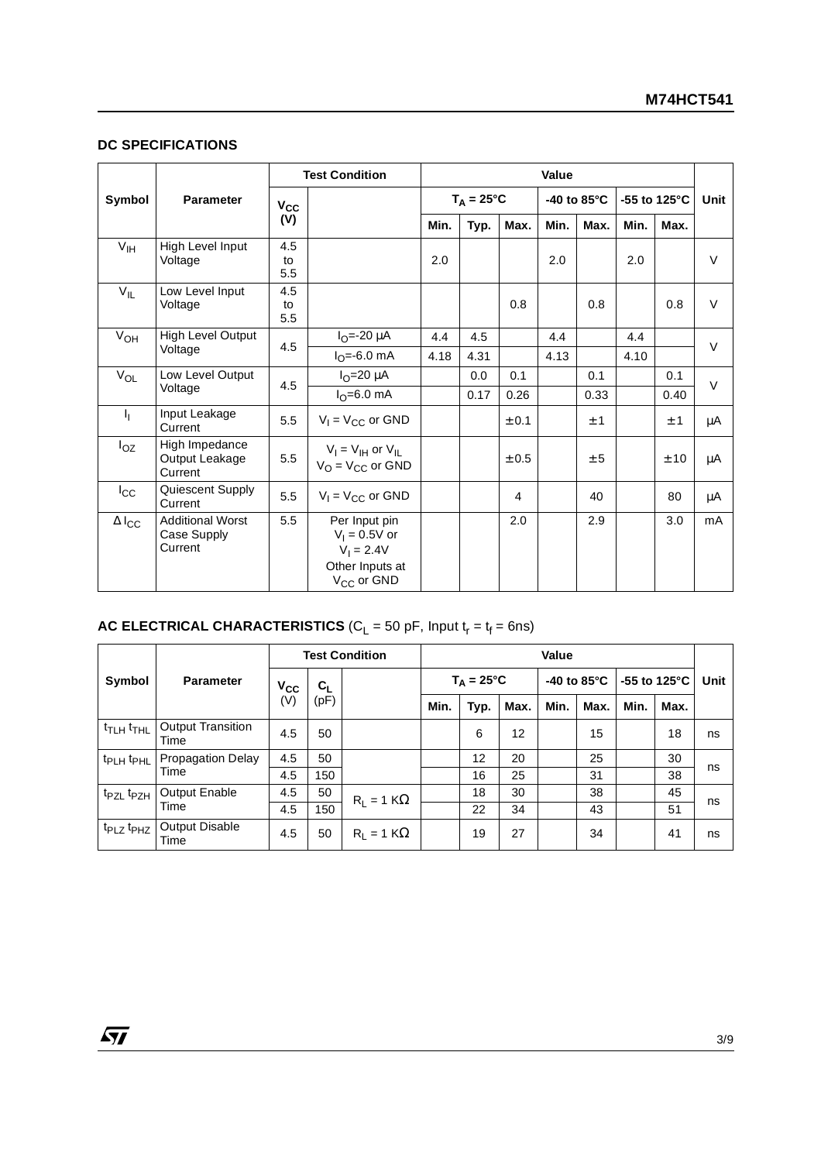#### **DC SPECIFICATIONS**

|                           |                                                   | <b>Test Condition</b> |                                                                                               | Value               |      |       |                       |      |                         |      |        |
|---------------------------|---------------------------------------------------|-----------------------|-----------------------------------------------------------------------------------------------|---------------------|------|-------|-----------------------|------|-------------------------|------|--------|
| Symbol                    | <b>Parameter</b>                                  | $V_{\rm CC}$          |                                                                                               | $T_A = 25^{\circ}C$ |      |       | -40 to $85^{\circ}$ C |      | -55 to 125 $^{\circ}$ C |      | Unit   |
|                           |                                                   | (V)                   |                                                                                               | Min.                | Typ. | Max.  | Min.                  | Max. | Min.                    | Max. |        |
| V <sub>IH</sub>           | High Level Input<br>Voltage                       | 4.5<br>to<br>5.5      |                                                                                               | 2.0                 |      |       | 2.0                   |      | 2.0                     |      | $\vee$ |
| $V_{IL}$                  | Low Level Input<br>Voltage                        | 4.5<br>to<br>5.5      |                                                                                               |                     |      | 0.8   |                       | 0.8  |                         | 0.8  | $\vee$ |
| $V_{OH}$                  | High Level Output                                 | 4.5                   | $I_{\Omega} = -20 \mu A$                                                                      | 4.4                 | 4.5  |       | 4.4                   |      | 4.4                     |      | $\vee$ |
|                           | Voltage                                           |                       | $I_{\Omega} = -6.0$ mA                                                                        | 4.18                | 4.31 |       | 4.13                  |      | 4.10                    |      |        |
| $V_{OL}$                  | Low Level Output                                  | 4.5                   | $IO=20 \mu A$                                                                                 |                     | 0.0  | 0.1   |                       | 0.1  |                         | 0.1  | $\vee$ |
|                           | Voltage                                           |                       | $I_{\Omega} = 6.0$ mA                                                                         |                     | 0.17 | 0.26  |                       | 0.33 |                         | 0.40 |        |
| $\mathbf{I}_{\mathbf{I}}$ | Input Leakage<br>Current                          | 5.5                   | $V_1 = V_{CC}$ or GND                                                                         |                     |      | ± 0.1 |                       | ±1   |                         | ±1   | μA     |
| $I_{OZ}$                  | High Impedance<br>Output Leakage<br>Current       | 5.5                   | $V_I = V_{IH}$ or $V_{IL}$<br>$V_{\Omega} = V_{\text{CC}}$ or GND                             |                     |      | ± 0.5 |                       | ± 5  |                         | ± 10 | μA     |
| $I_{\rm CC}$              | Quiescent Supply<br>Current                       | 5.5                   | $V_1 = V_{CC}$ or GND                                                                         |                     |      | 4     |                       | 40   |                         | 80   | μA     |
| $\Delta$ l <sub>CC</sub>  | <b>Additional Worst</b><br>Case Supply<br>Current | 5.5                   | Per Input pin<br>$V_1 = 0.5V$ or<br>$V_1 = 2.4V$<br>Other Inputs at<br>V <sub>CC</sub> or GND |                     |      | 2.0   |                       | 2.9  |                         | 3.0  | mA     |

#### $\texttt{AC ELECTRICAL CHARACTERISTICS}$  (C<sub>L</sub> = 50 pF, Input t<sub>r</sub> = t<sub>f</sub> = 6ns)

|                                   |                                  | <b>Test Condition</b> |         |                   | <b>Value</b>        |      |      |                       |      |                         |      |      |
|-----------------------------------|----------------------------------|-----------------------|---------|-------------------|---------------------|------|------|-----------------------|------|-------------------------|------|------|
| Symbol                            | <b>Parameter</b>                 | $V_{\rm CC}$          | $c_{L}$ |                   | $T_A = 25^{\circ}C$ |      |      | -40 to $85^{\circ}$ C |      | -55 to 125 $^{\circ}$ C |      | Unit |
|                                   |                                  | (V)                   | (pF)    |                   | Min.                | Typ. | Max. | Min.                  | Max. | Min.                    | Max. |      |
| $t$ TLH $t$ THL                   | <b>Output Transition</b><br>Time | 4.5                   | 50      |                   |                     | 6    | 12   |                       | 15   |                         | 18   | ns   |
| t <sub>PLH</sub> t <sub>PHL</sub> | <b>Propagation Delay</b>         | 4.5                   | 50      |                   |                     | 12   | 20   |                       | 25   |                         | 30   |      |
|                                   | Time                             | 4.5                   | 150     |                   |                     | 16   | 25   |                       | 31   |                         | 38   | ns   |
| t <sub>PZL</sub> t <sub>PZH</sub> | Output Enable                    | 4.5                   | 50      | $R_1 = 1 K\Omega$ |                     | 18   | 30   |                       | 38   |                         | 45   |      |
| Time                              |                                  | 4.5                   | 150     |                   |                     | 22   | 34   |                       | 43   |                         | 51   | ns   |
| t <sub>PLZ</sub> t <sub>PHZ</sub> | <b>Output Disable</b><br>Time    | 4.5                   | 50      | $R_1 = 1 K\Omega$ |                     | 19   | 27   |                       | 34   |                         | 41   | ns   |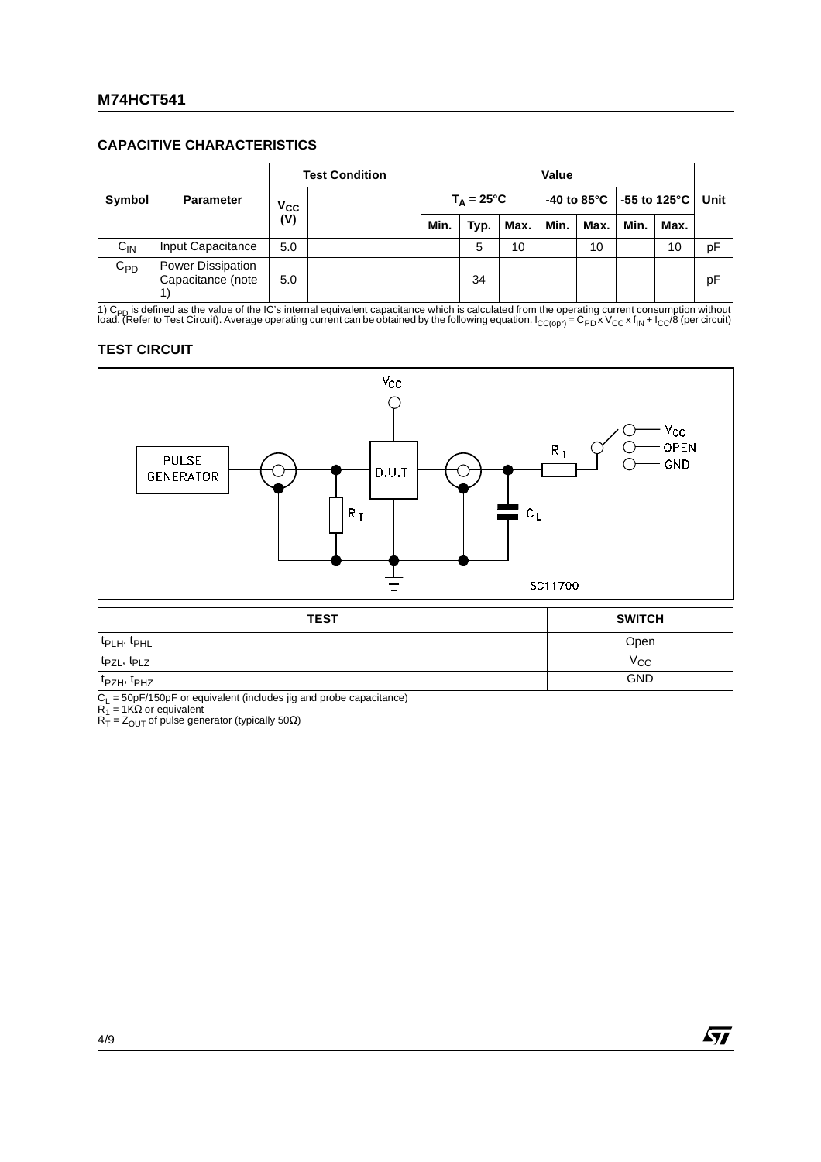#### **CAPACITIVE CHARACTERISTICS**

| Symbol   |                                        | <b>Test Condition</b> |                                                 | Value               |      |      |      |                                                  |      |      |    |
|----------|----------------------------------------|-----------------------|-------------------------------------------------|---------------------|------|------|------|--------------------------------------------------|------|------|----|
|          | <b>Parameter</b>                       |                       | $V_{\rm CC}$<br>$\overline{\text{(V)}}$<br>Min. | $T_A = 25^{\circ}C$ |      |      |      | -40 to 85 $^{\circ}$ C   -55 to 125 $^{\circ}$ C |      | Unit |    |
|          |                                        |                       |                                                 |                     | Typ. | Max. | Min. | Max.                                             | Min. | Max. |    |
| $C_{IN}$ | Input Capacitance                      | 5.0                   |                                                 |                     | 5    | 10   |      | 10                                               |      | 10   | рF |
| $C_{PD}$ | Power Dissipation<br>Capacitance (note | 5.0                   |                                                 |                     | 34   |      |      |                                                  |      |      | pF |

1) C<sub>PD</sub> is defined as the value of the IC's internal equivalent capacitance which is calculated from the operating current consumption without<br>load. (Refer to Test Circuit). Average operating current can be obtained by th

#### **TEST CIRCUIT**



| 1ES I                               | SWIICH       |
|-------------------------------------|--------------|
| t <sub>PLH</sub> , t <sub>PHL</sub> | Open         |
| t <sub>PZL</sub> , t <sub>PLZ</sub> | $v_{\rm CC}$ |
| $t_{PZH}$ , $t_{PHZ}$               | <b>GND</b>   |

 $C_L$  = 50pF/150pF or equivalent (includes jig and probe capacitance)

 $R_1$  = 1KΩ or equivalent

 $R_T = Z_{\text{OUT}}$  of pulse generator (typically 50 $\Omega$ )

57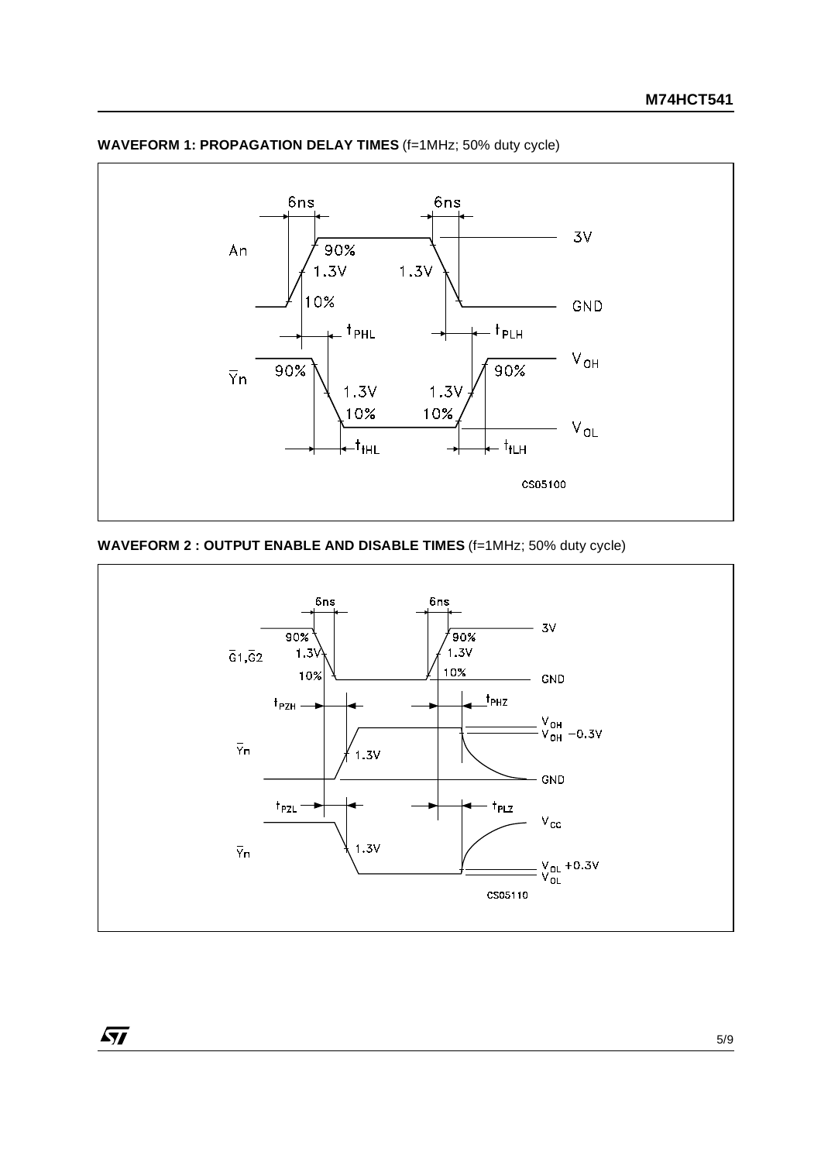

### **WAVEFORM 1: PROPAGATION DELAY TIMES** (f=1MHz; 50% duty cycle)

### **WAVEFORM 2 : OUTPUT ENABLE AND DISABLE TIMES** (f=1MHz; 50% duty cycle)

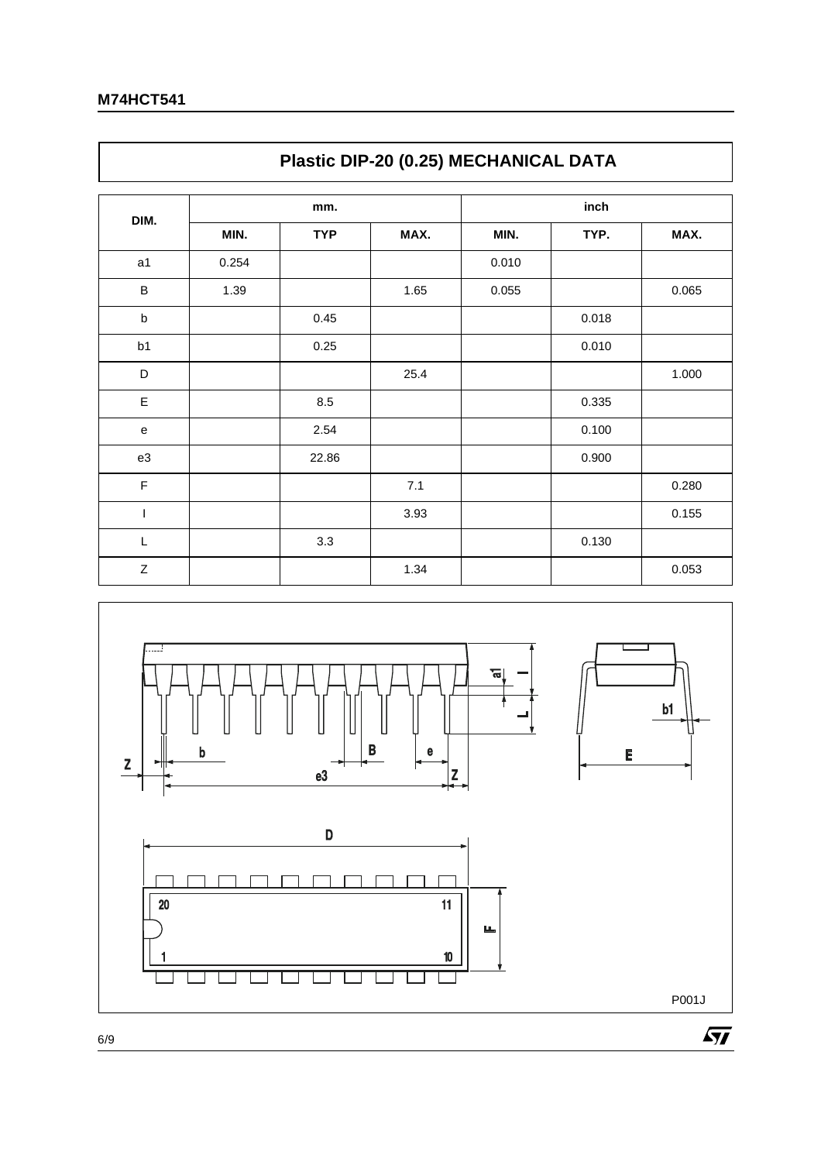$\Gamma$ 

|              | Plastic DIP-20 (0.25) MECHANICAL DATA |            |      |       |       |       |  |  |  |  |
|--------------|---------------------------------------|------------|------|-------|-------|-------|--|--|--|--|
|              |                                       | mm.        |      | inch  |       |       |  |  |  |  |
| DIM.         | MIN.                                  | <b>TYP</b> | MAX. | MIN.  | TYP.  | MAX.  |  |  |  |  |
| a1           | 0.254                                 |            |      | 0.010 |       |       |  |  |  |  |
| B            | 1.39                                  |            | 1.65 | 0.055 |       | 0.065 |  |  |  |  |
| $\sf b$      |                                       | 0.45       |      |       | 0.018 |       |  |  |  |  |
| b1           |                                       | 0.25       |      |       | 0.010 |       |  |  |  |  |
| D            |                                       |            | 25.4 |       |       | 1.000 |  |  |  |  |
| E            |                                       | 8.5        |      |       | 0.335 |       |  |  |  |  |
| ${\bf e}$    |                                       | 2.54       |      |       | 0.100 |       |  |  |  |  |
| e3           |                                       | 22.86      |      |       | 0.900 |       |  |  |  |  |
| $\mathsf F$  |                                       |            | 7.1  |       |       | 0.280 |  |  |  |  |
| T            |                                       |            | 3.93 |       |       | 0.155 |  |  |  |  |
| L            |                                       | 3.3        |      |       | 0.130 |       |  |  |  |  |
| $\mathsf{Z}$ |                                       |            | 1.34 |       |       | 0.053 |  |  |  |  |



٦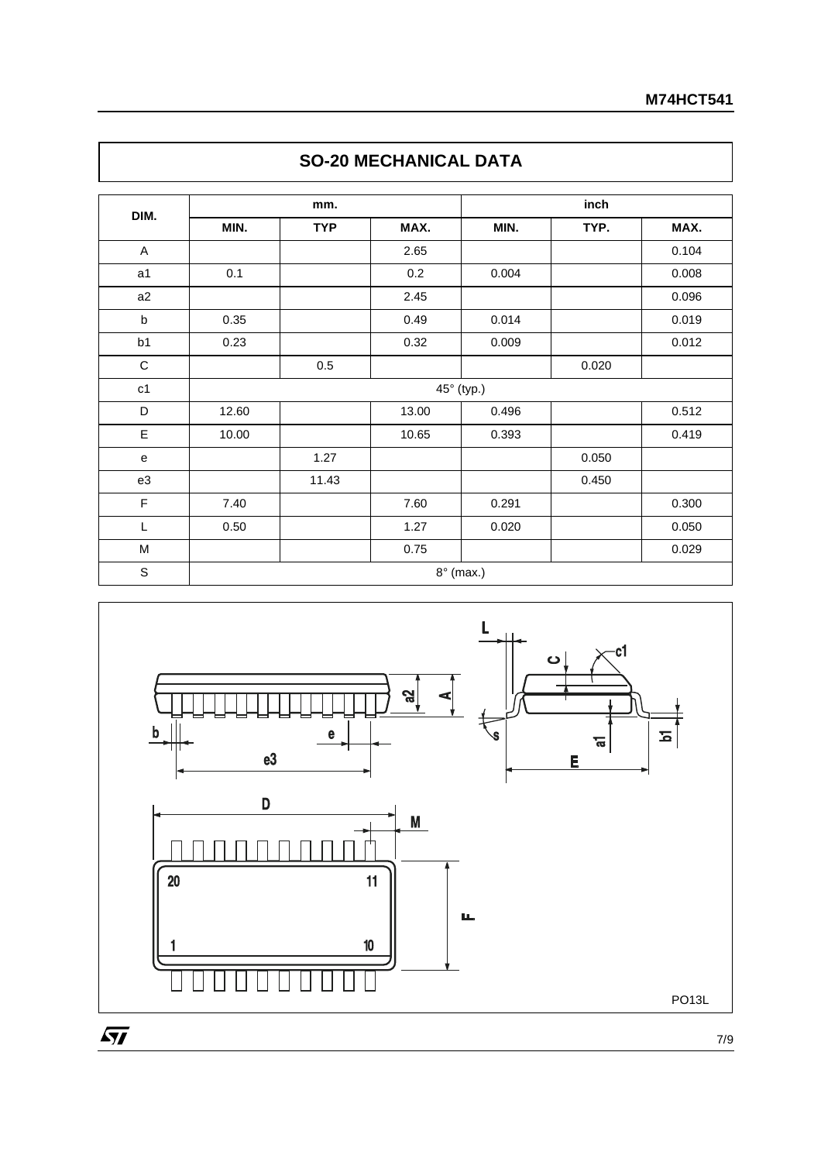| DIM.           |       | mm.        |       |            |       |       |
|----------------|-------|------------|-------|------------|-------|-------|
|                | MIN.  | <b>TYP</b> | MAX.  | MIN.       | TYP.  | MAX.  |
| A              |       |            | 2.65  |            |       | 0.104 |
| a <sub>1</sub> | 0.1   |            | 0.2   | 0.004      |       | 0.008 |
| a2             |       |            | 2.45  |            |       | 0.096 |
| b              | 0.35  |            | 0.49  | 0.014      |       | 0.019 |
| b1             | 0.23  |            | 0.32  | 0.009      |       | 0.012 |
| $\mathbf C$    |       | 0.5        |       |            | 0.020 |       |
| c1             |       |            |       | 45° (typ.) |       |       |
| D              | 12.60 |            | 13.00 | 0.496      |       | 0.512 |
| E              | 10.00 |            | 10.65 | 0.393      |       | 0.419 |
| ${\bf e}$      |       | 1.27       |       |            | 0.050 |       |
| e3             |       | 11.43      |       |            | 0.450 |       |
| $\mathsf F$    | 7.40  |            | 7.60  | 0.291      |       | 0.300 |
| L              | 0.50  |            | 1.27  | 0.020      |       | 0.050 |
| M              |       |            | 0.75  |            |       | 0.029 |





7/9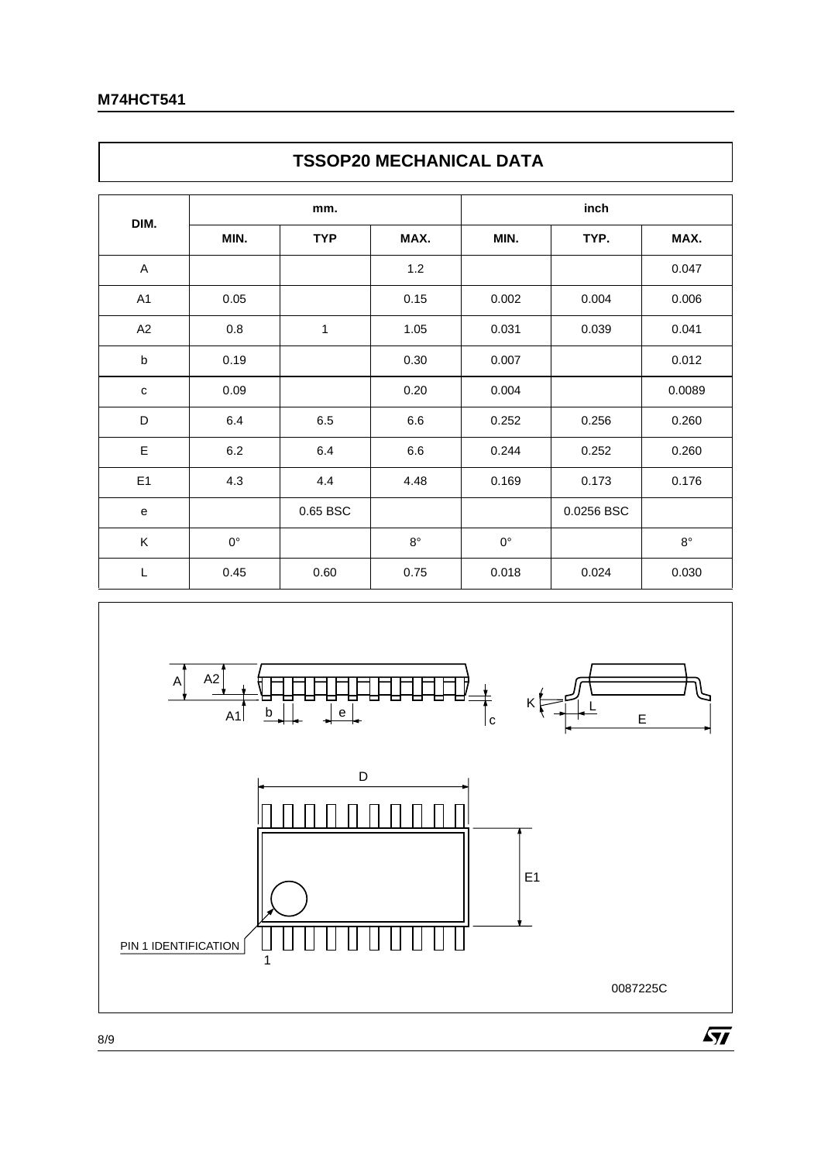$\mathsf{r}$ 

|                | <b>TSSOP20 MECHANICAL DATA</b> |            |             |             |            |             |  |  |  |  |
|----------------|--------------------------------|------------|-------------|-------------|------------|-------------|--|--|--|--|
| DIM.           |                                | mm.        |             | inch        |            |             |  |  |  |  |
|                | MIN.                           | <b>TYP</b> | MAX.        | MIN.        | TYP.       | MAX.        |  |  |  |  |
| A              |                                |            | 1.2         |             |            | 0.047       |  |  |  |  |
| A1             | 0.05                           |            | 0.15        | 0.002       | 0.004      | 0.006       |  |  |  |  |
| A2             | 0.8                            | 1          | 1.05        | 0.031       | 0.039      | 0.041       |  |  |  |  |
| b              | 0.19                           |            | 0.30        | 0.007       |            | 0.012       |  |  |  |  |
| $\mathbf C$    | 0.09                           |            | 0.20        | 0.004       |            | 0.0089      |  |  |  |  |
| D              | 6.4                            | 6.5        | 6.6         | 0.252       | 0.256      | 0.260       |  |  |  |  |
| Ε              | 6.2                            | 6.4        | 6.6         | 0.244       | 0.252      | 0.260       |  |  |  |  |
| E <sub>1</sub> | 4.3                            | 4.4        | 4.48        | 0.169       | 0.173      | 0.176       |  |  |  |  |
| e              |                                | 0.65 BSC   |             |             | 0.0256 BSC |             |  |  |  |  |
| K              | $0^{\circ}$                    |            | $8^{\circ}$ | $0^{\circ}$ |            | $8^{\circ}$ |  |  |  |  |
| L              | 0.45                           | 0.60       | 0.75        | 0.018       | 0.024      | 0.030       |  |  |  |  |



٦